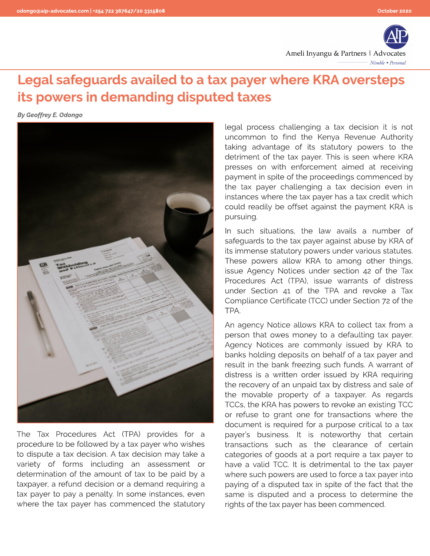

## Legal safeguards availed to a tax payer where KRA oversteps its powers in demanding disputed taxes

**By Geoffrey E. Odongo**



The Tax Procedures Act (TPA) provides for a procedure to be followed by a tax payer who wishes to dispute a tax decision. A tax decision may take a variety of forms including an assessment or determination of the amount of tax to be paid by a taxpayer, a refund decision or a demand requiring a tax payer to pay a penalty. In some instances, even where the tax payer has commenced the statutory

legal process challenging a tax decision it is not uncommon to find the Kenya Revenue Authority taking advantage of its statutory powers to the detriment of the tax payer. This is seen where KRA presses on with enforcement aimed at receiving payment in spite of the proceedings commenced by the tax payer challenging a tax decision even in instances where the tax payer has a tax credit which could readily be offset against the payment KRA is pursuing.

In such situations, the law avails a number of safeguards to the tax payer against abuse by KRA of its immense statutory powers under various statutes. These powers allow KRA to among other things, issue Agency Notices under section 42 of the Tax Procedures Act (TPA), issue warrants of distress under Section 41 of the TPA and revoke a Tax Compliance Certificate (TCC) under Section 72 of the TPA.

An agency Notice allows KRA to collect tax from a person that owes money to a defaulting tax payer. Agency Notices are commonly issued by KRA to banks holding deposits on behalf of a tax payer and result in the bank freezing such funds. A warrant of distress is a written order issued by KRA requiring the recovery of an unpaid tax by distress and sale of the movable property of a taxpayer. As regards TCCs, the KRA has powers to revoke an existing TCC or refuse to grant one for transactions where the document is required for a purpose critical to a tax payer?s business. It is noteworthy that certain transactions such as the clearance of certain categories of goods at a port require a tax payer to have a valid TCC. It is detrimental to the tax payer where such powers are used to force a tax payer into paying of a disputed tax in spite of the fact that the same is disputed and a process to determine the rights of the tax payer has been commenced.